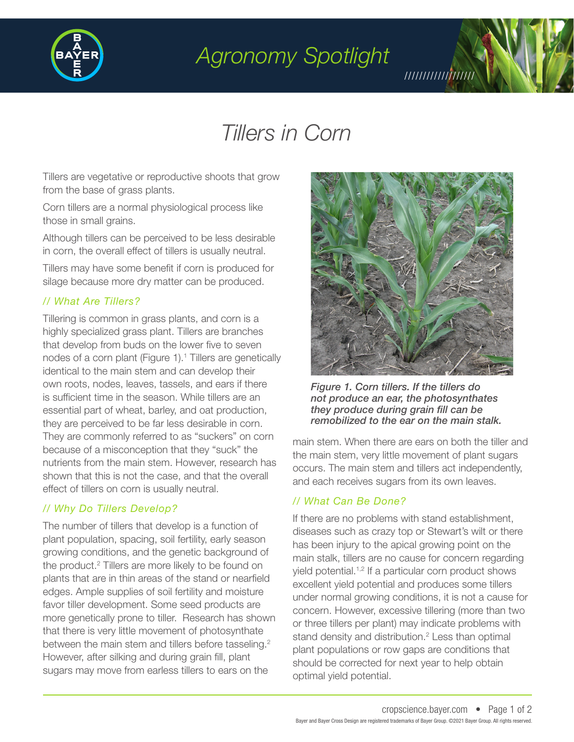

## *Agronomy Spotlight*

# *Tillers in Corn*

Tillers are vegetative or reproductive shoots that grow from the base of grass plants.

Corn tillers are a normal physiological process like those in small grains.

Although tillers can be perceived to be less desirable in corn, the overall effect of tillers is usually neutral.

Tillers may have some benefit if corn is produced for silage because more dry matter can be produced.

### *// What Are Tillers?*

Tillering is common in grass plants, and corn is a highly specialized grass plant. Tillers are branches that develop from buds on the lower five to seven nodes of a corn plant (Figure 1).<sup>1</sup> Tillers are genetically identical to the main stem and can develop their own roots, nodes, leaves, tassels, and ears if there is sufficient time in the season. While tillers are an essential part of wheat, barley, and oat production, they are perceived to be far less desirable in corn. They are commonly referred to as "suckers" on corn because of a misconception that they "suck" the nutrients from the main stem. However, research has shown that this is not the case, and that the overall effect of tillers on corn is usually neutral.

### *// Why Do Tillers Develop?*

The number of tillers that develop is a function of plant population, spacing, soil fertility, early season growing conditions, and the genetic background of the product.<sup>2</sup> Tillers are more likely to be found on plants that are in thin areas of the stand or nearfield edges. Ample supplies of soil fertility and moisture favor tiller development. Some seed products are more genetically prone to tiller. Research has shown that there is very little movement of photosynthate between the main stem and tillers before tasseling.<sup>2</sup> However, after silking and during grain fill, plant sugars may move from earless tillers to ears on the



///////////////////

*Figure 1. Corn tillers. If the tillers do not produce an ear, the photosynthates they produce during grain fill can be remobilized to the ear on the main stalk.*

main stem. When there are ears on both the tiller and the main stem, very little movement of plant sugars occurs. The main stem and tillers act independently, and each receives sugars from its own leaves.

#### *// What Can Be Done?*

If there are no problems with stand establishment, diseases such as crazy top or Stewart's wilt or there has been injury to the apical growing point on the main stalk, tillers are no cause for concern regarding yield potential.1,2 If a particular corn product shows excellent yield potential and produces some tillers under normal growing conditions, it is not a cause for concern. However, excessive tillering (more than two or three tillers per plant) may indicate problems with stand density and distribution.<sup>2</sup> Less than optimal plant populations or row gaps are conditions that should be corrected for next year to help obtain optimal yield potential.